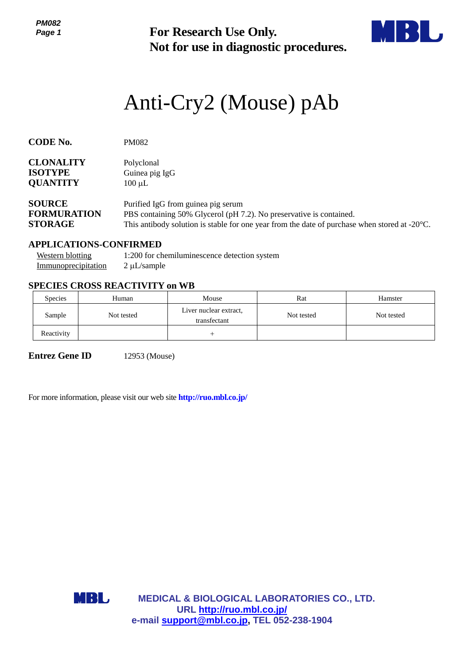*PM082 Page 1*



# Anti-Cry2 (Mouse) pAb

| F IVIUOZ<br>Page 1                                    |                                                    | <b>For Research Use Only.</b><br>Not for use in diagnostic procedures.                                                                                                                                               |            |            |  |  |  |
|-------------------------------------------------------|----------------------------------------------------|----------------------------------------------------------------------------------------------------------------------------------------------------------------------------------------------------------------------|------------|------------|--|--|--|
|                                                       |                                                    | Anti-Cry2 (Mouse) pAb                                                                                                                                                                                                |            |            |  |  |  |
| <b>CODE No.</b>                                       | <b>PM082</b>                                       |                                                                                                                                                                                                                      |            |            |  |  |  |
| <b>CLONALITY</b><br><b>ISOTYPE</b><br><b>QUANTITY</b> | Polyclonal<br>$100 \mu L$                          | Guinea pig IgG                                                                                                                                                                                                       |            |            |  |  |  |
| <b>SOURCE</b><br><b>FORMURATION</b><br><b>STORAGE</b> |                                                    | Purified IgG from guinea pig serum<br>PBS containing 50% Glycerol (pH 7.2). No preservative is contained.<br>This antibody solution is stable for one year from the date of purchase when stored at $-20^{\circ}$ C. |            |            |  |  |  |
| <b>Western blotting</b><br>Immunoprecipitation        | <b>APPLICATIONS-CONFIRMED</b><br>$2 \mu L$ /sample | 1:200 for chemiluminescence detection system                                                                                                                                                                         |            |            |  |  |  |
|                                                       | <b>SPECIES CROSS REACTIVITY on WB</b>              |                                                                                                                                                                                                                      |            |            |  |  |  |
| Species                                               | Human                                              | Mouse<br>Liver nuclear extract,                                                                                                                                                                                      | Rat        | Hamster    |  |  |  |
| Sample                                                | Not tested                                         | transfectant                                                                                                                                                                                                         | Not tested | Not tested |  |  |  |
| Reactivity                                            |                                                    | $^{+}$                                                                                                                                                                                                               |            |            |  |  |  |
| <b>Entrez Gene ID</b>                                 | 12953 (Mouse)                                      | For more information, please visit our web site <b>http://ruo.mbl.co.jp/</b>                                                                                                                                         |            |            |  |  |  |
|                                                       |                                                    |                                                                                                                                                                                                                      |            |            |  |  |  |
|                                                       |                                                    |                                                                                                                                                                                                                      |            |            |  |  |  |
|                                                       |                                                    |                                                                                                                                                                                                                      |            |            |  |  |  |
|                                                       | MBL                                                | <b>MEDICAL &amp; BIOLOGICAL LABORATORIES CO., LTD.</b><br>URL http://ruo.mbl.co.jp/                                                                                                                                  |            |            |  |  |  |
|                                                       |                                                    | e-mail support@mbl.co.jp, TEL 052-238-1904                                                                                                                                                                           |            |            |  |  |  |

## **APPLICATIONS-CONFIRMED**

| Western blotting    | 1:200 for chemiluminescence detection system |
|---------------------|----------------------------------------------|
| Immunoprecipitation | $2 \mu L$ /sample                            |

## **SPECIES CROSS REACTIVITY on WB**

| <b>Species</b> | Human      | Mouse                                  | Rat        | Hamster    |
|----------------|------------|----------------------------------------|------------|------------|
| Sample         | Not tested | Liver nuclear extract,<br>transfectant | Not tested | Not tested |
| Reactivity     |            |                                        |            |            |

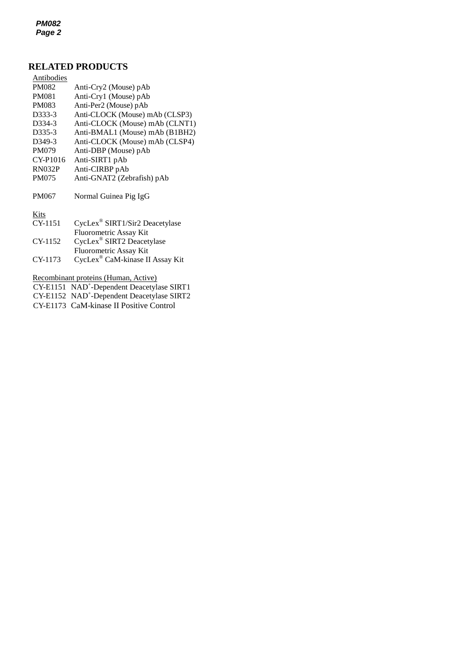## **RELATED PRODUCTS**

| Antibodies    |                                            |
|---------------|--------------------------------------------|
| <b>PM082</b>  | Anti-Cry2 (Mouse) pAb                      |
| <b>PM081</b>  | Anti-Cry1 (Mouse) pAb                      |
| <b>PM083</b>  | Anti-Per2 (Mouse) pAb                      |
| D333-3        | Anti-CLOCK (Mouse) mAb (CLSP3)             |
| D334-3        | Anti-CLOCK (Mouse) mAb (CLNT1)             |
| D335-3        | Anti-BMAL1 (Mouse) mAb (B1BH2)             |
| D349-3        | Anti-CLOCK (Mouse) mAb (CLSP4)             |
| <b>PM079</b>  | Anti-DBP (Mouse) pAb                       |
| CY-P1016      | Anti-SIRT1 pAb                             |
| <b>RN032P</b> | Anti-CIRBP pAb                             |
| <b>PM075</b>  | Anti-GNAT2 (Zebrafish) pAb                 |
| PM067         | Normal Guinea Pig IgG                      |
| Kits          |                                            |
| CY-1151       | CycLex <sup>®</sup> SIRT1/Sir2 Deacetylase |
|               | Fluorometric Assay Kit                     |
| CY-1152       | CycLex® SIRT2 Deacetylase                  |
|               | Fluorometric Assay Kit                     |
| CY-1173       | CycLex® CaM-kinase II Assay Kit            |
|               | Recombinant proteins (Human, Active)       |

CY-E1151 NAD<sup>+</sup>[-Dependent Deacetylase SIRT1](http://ruo.mbl.co.jp/dtl/P/CY-E1151/)

- CY-E1152 NAD<sup>+</sup>[-Dependent Deacetylase SIRT2](http://ruo.mbl.co.jp/dtl/P/CY-E1152/)
- CY-E1173 CaM-kinase II Positive Control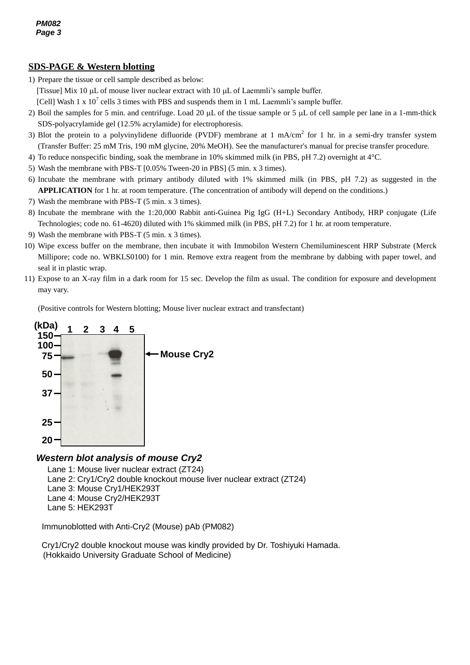## **SDS-PAGE & Western blotting**

- 1) Prepare the tissue or cell sample described as below:
- Tissue] Mix 10 μL of mouse liver nuclear extract with 10 μL of Laemmli's sample buffer.
	- [Cell] Wash 1 x  $10^7$  cells 3 times with PBS and suspends them in 1 mL Laemmli's sample buffer.
- 2) Boil the samples for 5 min. and centrifuge. Load 20  $\mu$ L of the tissue sample or 5  $\mu$ L of cell sample per lane in a 1-mm-thick SDS-polyacrylamide gel (12.5% acrylamide) for electrophoresis.
- 3) Blot the protein to a polyvinylidene difluoride (PVDF) membrane at 1 mA/cm<sup>2</sup> for 1 hr. in a semi-dry transfer system (Transfer Buffer: 25 mM Tris, 190 mM glycine, 20% MeOH). See the manufacturer's manual for precise transfer procedure.
- 4) To reduce nonspecific binding, soak the membrane in 10% skimmed milk (in PBS, pH 7.2) overnight at 4°C.
- 5) Wash the membrane with PBS-T [0.05% Tween-20 in PBS] (5 min. x 3 times).
- 6) Incubate the membrane with primary antibody diluted with 1% skimmed milk (in PBS, pH 7.2) as suggested in the **APPLICATION** for 1 hr. at room temperature. (The concentration of antibody will depend on the conditions.)
- 7) Wash the membrane with PBS-T (5 min. x 3 times).
- 8) Incubate the membrane with the 1:20,000 Rabbit anti-Guinea Pig IgG (H+L) Secondary Antibody, HRP conjugate (Life Technologies; code no. 61-4620) diluted with 1% skimmed milk (in PBS, pH 7.2) for 1 hr. at room temperature.
- 9) Wash the membrane with PBS-T (5 min. x 3 times).
- 10) Wipe excess buffer on the membrane, then incubate it with Immobilon Western Chemiluminescent HRP Substrate (Merck Millipore; code no. WBKLS0100) for 1 min. Remove extra reagent from the membrane by dabbing with paper towel, and seal it in plastic wrap.
- 11) Expose to an X-ray film in a dark room for 15 sec. Develop the film as usual. The condition for exposure and development may vary.

(Positive controls for Western blotting; Mouse liver nuclear extract and transfectant)



## *Western blot analysis of mouse Cry2*

Lane 1: Mouse liver nuclear extract (ZT24) Lane 2: Cry1/Cry2 double knockout mouse liver nuclear extract (ZT24) Lane 3: Mouse Cry1/HEK293T Lane 4: Mouse Cry2/HEK293T Lane 5: HEK293T

Immunoblotted with Anti-Cry2 (Mouse) pAb (PM082)

Cry1/Cry2 double knockout mouse was kindly provided by Dr. Toshiyuki Hamada. (Hokkaido University Graduate School of Medicine)